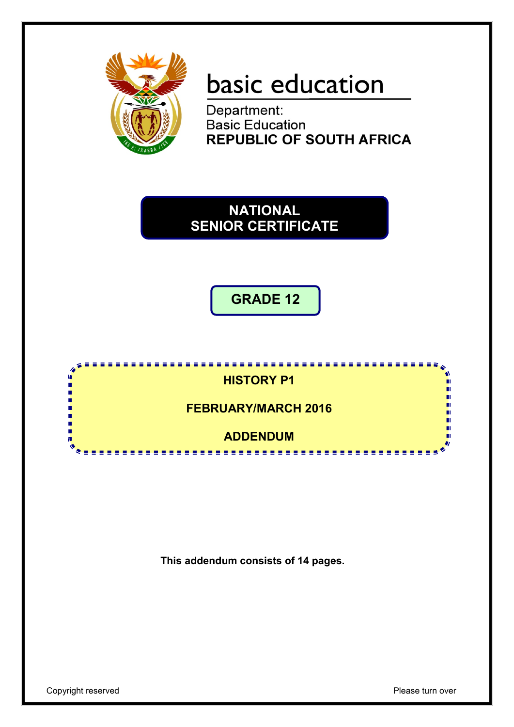

# basic education

Department: **Basic Education REPUBLIC OF SOUTH AFRICA** 

# **NATIONAL SENIOR CERTIFICATE**

**GRADE 12**



**This addendum consists of 14 pages.**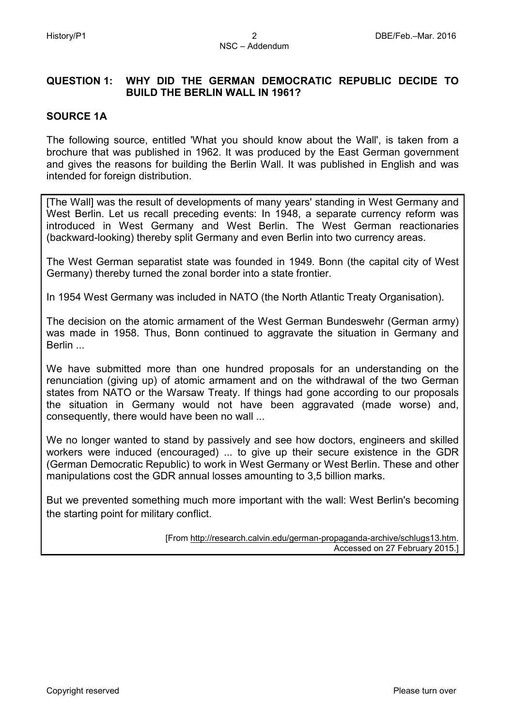# **QUESTION 1: WHY DID THE GERMAN DEMOCRATIC REPUBLIC DECIDE TO BUILD THE BERLIN WALL IN 1961?**

# **SOURCE 1A**

The following source, entitled 'What you should know about the Wall', is taken from a brochure that was published in 1962. It was produced by the East German government and gives the reasons for building the Berlin Wall. It was published in English and was intended for foreign distribution.

[The Wall] was the result of developments of many years' standing in West Germany and West Berlin. Let us recall preceding events: In 1948, a separate currency reform was introduced in West Germany and West Berlin. The West German reactionaries (backward-looking) thereby split Germany and even Berlin into two currency areas.

The West German separatist state was founded in 1949. Bonn (the capital city of West Germany) thereby turned the zonal border into a state frontier.

In 1954 West Germany was included in NATO (the North Atlantic Treaty Organisation).

The decision on the atomic armament of the West German Bundeswehr (German army) was made in 1958. Thus, Bonn continued to aggravate the situation in Germany and **Berlin** 

We have submitted more than one hundred proposals for an understanding on the renunciation (giving up) of atomic armament and on the withdrawal of the two German states from NATO or the Warsaw Treaty. If things had gone according to our proposals the situation in Germany would not have been aggravated (made worse) and, consequently, there would have been no wall ...

We no longer wanted to stand by passively and see how doctors, engineers and skilled workers were induced (encouraged) ... to give up their secure existence in the GDR (German Democratic Republic) to work in West Germany or West Berlin. These and other manipulations cost the GDR annual losses amounting to 3,5 billion marks.

But we prevented something much more important with the wall: West Berlin's becoming the starting point for military conflict.

> [From [http://research.calvin.edu/german-propaganda-archive/schlugs13.htm.](http://research.calvin.edu/german-propaganda-archive/schlugs13.htm) Accessed on 27 February 2015.]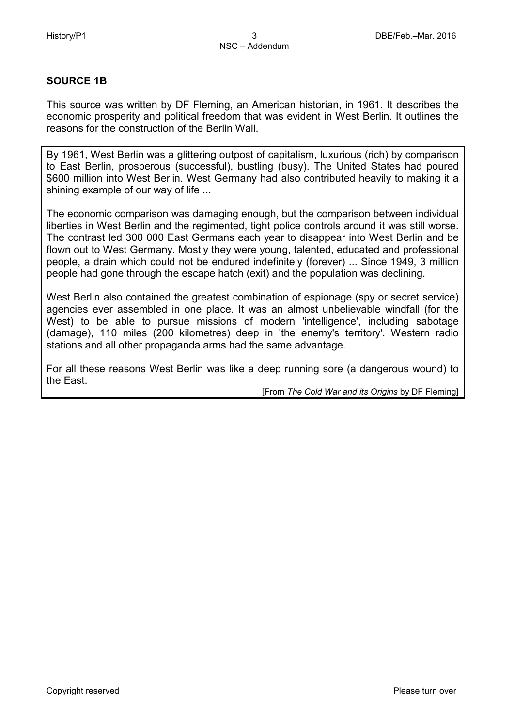# **SOURCE 1B**

This source was written by DF Fleming, an American historian, in 1961. It describes the economic prosperity and political freedom that was evident in West Berlin. It outlines the reasons for the construction of the Berlin Wall.

By 1961, West Berlin was a glittering outpost of capitalism, luxurious (rich) by comparison to East Berlin, prosperous (successful), bustling (busy). The United States had poured \$600 million into West Berlin. West Germany had also contributed heavily to making it a shining example of our way of life ...

The economic comparison was damaging enough, but the comparison between individual liberties in West Berlin and the regimented, tight police controls around it was still worse. The contrast led 300 000 East Germans each year to disappear into West Berlin and be flown out to West Germany. Mostly they were young, talented, educated and professional people, a drain which could not be endured indefinitely (forever) ... Since 1949, 3 million people had gone through the escape hatch (exit) and the population was declining.

West Berlin also contained the greatest combination of espionage (spy or secret service) agencies ever assembled in one place. It was an almost unbelievable windfall (for the West) to be able to pursue missions of modern 'intelligence', including sabotage (damage), 110 miles (200 kilometres) deep in 'the enemy's territory'. Western radio stations and all other propaganda arms had the same advantage.

For all these reasons West Berlin was like a deep running sore (a dangerous wound) to the East.

[From *The Cold War and its Origins* by DF Fleming]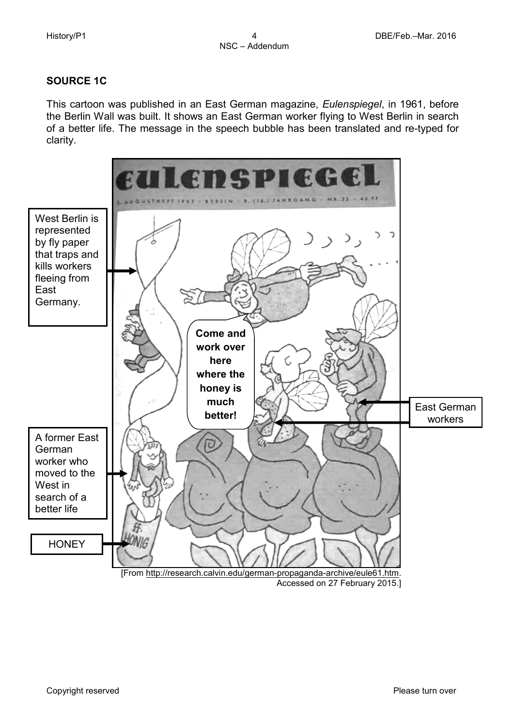# **SOURCE 1C**

This cartoon was published in an East German magazine, *Eulenspiegel*, in 1961, before the Berlin Wall was built. It shows an East German worker flying to West Berlin in search of a better life. The message in the speech bubble has been translated and re-typed for clarity.

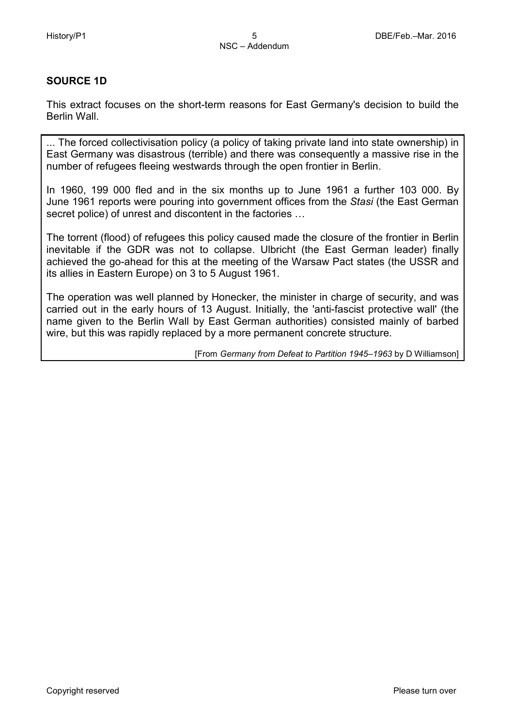# **SOURCE 1D**

This extract focuses on the short-term reasons for East Germany's decision to build the Berlin Wall.

... The forced collectivisation policy (a policy of taking private land into state ownership) in East Germany was disastrous (terrible) and there was consequently a massive rise in the number of refugees fleeing westwards through the open frontier in Berlin.

In 1960, 199 000 fled and in the six months up to June 1961 a further 103 000. By June 1961 reports were pouring into government offices from the *Stasi* (the East German secret police) of unrest and discontent in the factories …

The torrent (flood) of refugees this policy caused made the closure of the frontier in Berlin inevitable if the GDR was not to collapse. Ulbricht (the East German leader) finally achieved the go-ahead for this at the meeting of the Warsaw Pact states (the USSR and its allies in Eastern Europe) on 3 to 5 August 1961.

The operation was well planned by Honecker, the minister in charge of security, and was carried out in the early hours of 13 August. Initially, the 'anti-fascist protective wall' (the name given to the Berlin Wall by East German authorities) consisted mainly of barbed wire, but this was rapidly replaced by a more permanent concrete structure.

[From *Germany from Defeat to Partition 1945–1963* by D Williamson]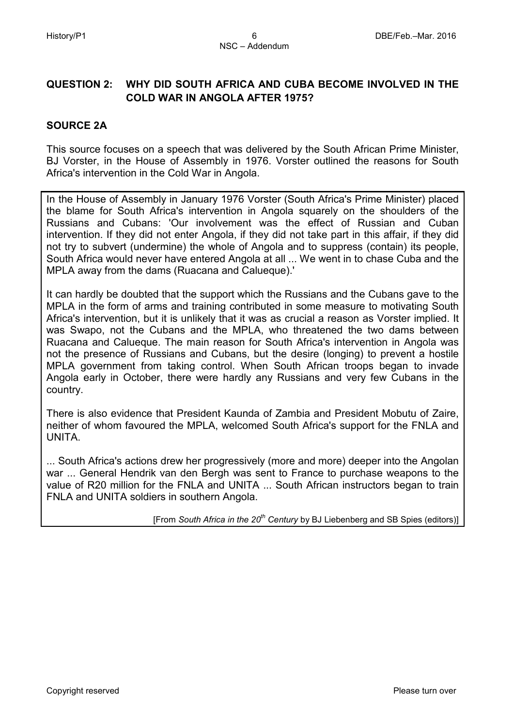# **QUESTION 2: WHY DID SOUTH AFRICA AND CUBA BECOME INVOLVED IN THE COLD WAR IN ANGOLA AFTER 1975?**

# **SOURCE 2A**

This source focuses on a speech that was delivered by the South African Prime Minister, BJ Vorster, in the House of Assembly in 1976. Vorster outlined the reasons for South Africa's intervention in the Cold War in Angola.

In the House of Assembly in January 1976 Vorster (South Africa's Prime Minister) placed the blame for South Africa's intervention in Angola squarely on the shoulders of the Russians and Cubans: 'Our involvement was the effect of Russian and Cuban intervention. If they did not enter Angola, if they did not take part in this affair, if they did not try to subvert (undermine) the whole of Angola and to suppress (contain) its people, South Africa would never have entered Angola at all ... We went in to chase Cuba and the MPLA away from the dams (Ruacana and Calueque).'

It can hardly be doubted that the support which the Russians and the Cubans gave to the MPLA in the form of arms and training contributed in some measure to motivating South Africa's intervention, but it is unlikely that it was as crucial a reason as Vorster implied. It was Swapo, not the Cubans and the MPLA, who threatened the two dams between Ruacana and Calueque. The main reason for South Africa's intervention in Angola was not the presence of Russians and Cubans, but the desire (longing) to prevent a hostile MPLA government from taking control. When South African troops began to invade Angola early in October, there were hardly any Russians and very few Cubans in the country.

There is also evidence that President Kaunda of Zambia and President Mobutu of Zaire, neither of whom favoured the MPLA, welcomed South Africa's support for the FNLA and UNITA.

... South Africa's actions drew her progressively (more and more) deeper into the Angolan war ... General Hendrik van den Bergh was sent to France to purchase weapons to the value of R20 million for the FNLA and UNITA ... South African instructors began to train FNLA and UNITA soldiers in southern Angola.

[From *South Africa in the 20th Century* by BJ Liebenberg and SB Spies (editors)]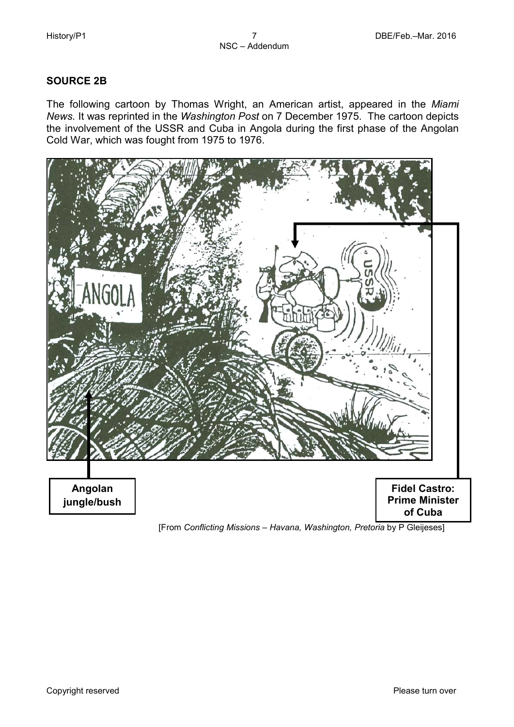# **SOURCE 2B**

The following cartoon by Thomas Wright, an American artist, appeared in the *Miami News.* It was reprinted in the *Washington Post* on 7 December 1975. The cartoon depicts the involvement of the USSR and Cuba in Angola during the first phase of the Angolan Cold War, which was fought from 1975 to 1976.

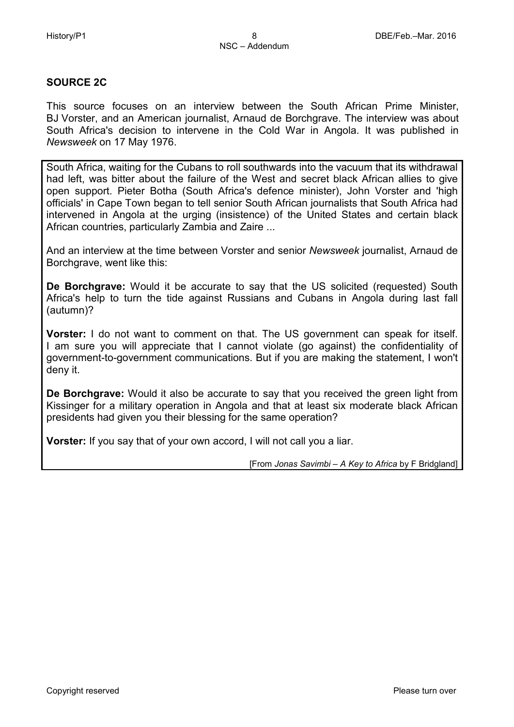#### **SOURCE 2C**

This source focuses on an interview between the South African Prime Minister, BJ Vorster, and an American journalist, Arnaud de Borchgrave. The interview was about South Africa's decision to intervene in the Cold War in Angola. It was published in *Newsweek* on 17 May 1976.

South Africa, waiting for the Cubans to roll southwards into the vacuum that its withdrawal had left, was bitter about the failure of the West and secret black African allies to give open support. Pieter Botha (South Africa's defence minister), John Vorster and 'high officials' in Cape Town began to tell senior South African journalists that South Africa had intervened in Angola at the urging (insistence) of the United States and certain black African countries, particularly Zambia and Zaire ...

And an interview at the time between Vorster and senior *Newsweek* journalist, Arnaud de Borchgrave, went like this:

**De Borchgrave:** Would it be accurate to say that the US solicited (requested) South Africa's help to turn the tide against Russians and Cubans in Angola during last fall (autumn)?

**Vorster:** I do not want to comment on that. The US government can speak for itself. I am sure you will appreciate that I cannot violate (go against) the confidentiality of government-to-government communications. But if you are making the statement, I won't deny it.

**De Borchgrave:** Would it also be accurate to say that you received the green light from Kissinger for a military operation in Angola and that at least six moderate black African presidents had given you their blessing for the same operation?

**Vorster:** If you say that of your own accord, I will not call you a liar.

[From *Jonas Savimbi – A Key to Africa* by F Bridgland]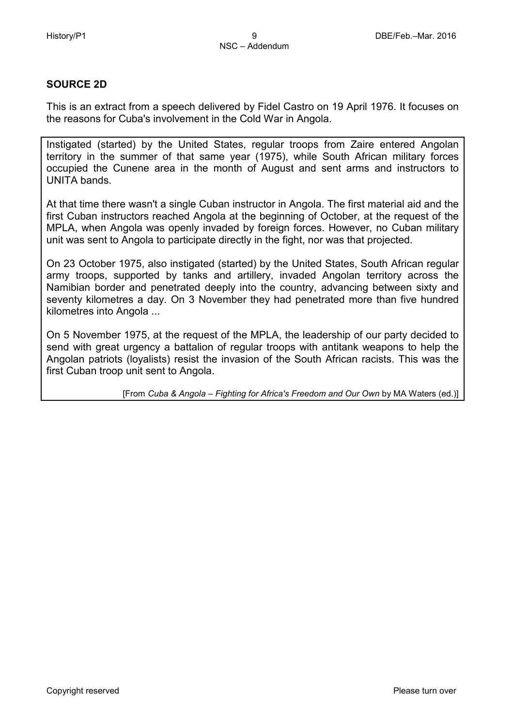# **SOURCE 2D**

This is an extract from a speech delivered by Fidel Castro on 19 April 1976. It focuses on the reasons for Cuba's involvement in the Cold War in Angola.

Instigated (started) by the United States, regular troops from Zaire entered Angolan territory in the summer of that same year (1975), while South African military forces occupied the Cunene area in the month of August and sent arms and instructors to UNITA bands.

At that time there wasn't a single Cuban instructor in Angola. The first material aid and the first Cuban instructors reached Angola at the beginning of October, at the request of the MPLA, when Angola was openly invaded by foreign forces. However, no Cuban military unit was sent to Angola to participate directly in the fight, nor was that projected.

On 23 October 1975, also instigated (started) by the United States, South African regular army troops, supported by tanks and artillery, invaded Angolan territory across the Namibian border and penetrated deeply into the country, advancing between sixty and seventy kilometres a day. On 3 November they had penetrated more than five hundred kilometres into Angola ...

On 5 November 1975, at the request of the MPLA, the leadership of our party decided to send with great urgency a battalion of regular troops with antitank weapons to help the Angolan patriots (loyalists) resist the invasion of the South African racists. This was the first Cuban troop unit sent to Angola.

[From *Cuba & Angola – Fighting for Africa's Freedom and Our Own* by MA Waters (ed.)]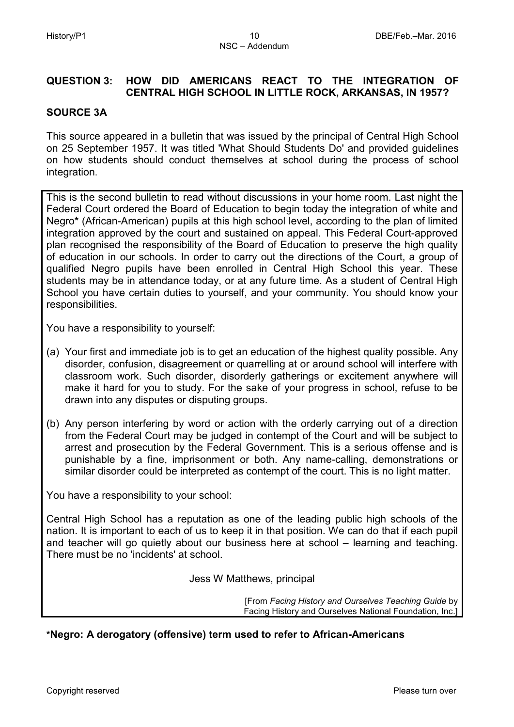# **QUESTION 3: HOW DID AMERICANS REACT TO THE INTEGRATION OF CENTRAL HIGH SCHOOL IN LITTLE ROCK, ARKANSAS, IN 1957?**

#### **SOURCE 3A**

This source appeared in a bulletin that was issued by the principal of Central High School on 25 September 1957. It was titled 'What Should Students Do' and provided guidelines on how students should conduct themselves at school during the process of school integration.

This is the second bulletin to read without discussions in your home room. Last night the Federal Court ordered the Board of Education to begin today the integration of white and Negro**\*** (African-American) pupils at this high school level, according to the plan of limited integration approved by the court and sustained on appeal. This Federal Court-approved plan recognised the responsibility of the Board of Education to preserve the high quality of education in our schools. In order to carry out the directions of the Court, a group of qualified Negro pupils have been enrolled in Central High School this year. These students may be in attendance today, or at any future time. As a student of Central High School you have certain duties to yourself, and your community. You should know your responsibilities.

You have a responsibility to yourself:

- (a) Your first and immediate job is to get an education of the highest quality possible. Any disorder, confusion, disagreement or quarrelling at or around school will interfere with classroom work. Such disorder, disorderly gatherings or excitement anywhere will make it hard for you to study. For the sake of your progress in school, refuse to be drawn into any disputes or disputing groups.
- (b) Any person interfering by word or action with the orderly carrying out of a direction from the Federal Court may be judged in contempt of the Court and will be subject to arrest and prosecution by the Federal Government. This is a serious offense and is punishable by a fine, imprisonment or both. Any name-calling, demonstrations or similar disorder could be interpreted as contempt of the court. This is no light matter.

You have a responsibility to your school:

Central High School has a reputation as one of the leading public high schools of the nation. It is important to each of us to keep it in that position. We can do that if each pupil and teacher will go quietly about our business here at school – learning and teaching. There must be no 'incidents' at school.

Jess W Matthews, principal

[From *Facing History and Ourselves Teaching Guide* by Facing History and Ourselves National Foundation, Inc.]

#### **\*Negro: A derogatory (offensive) term used to refer to African-Americans**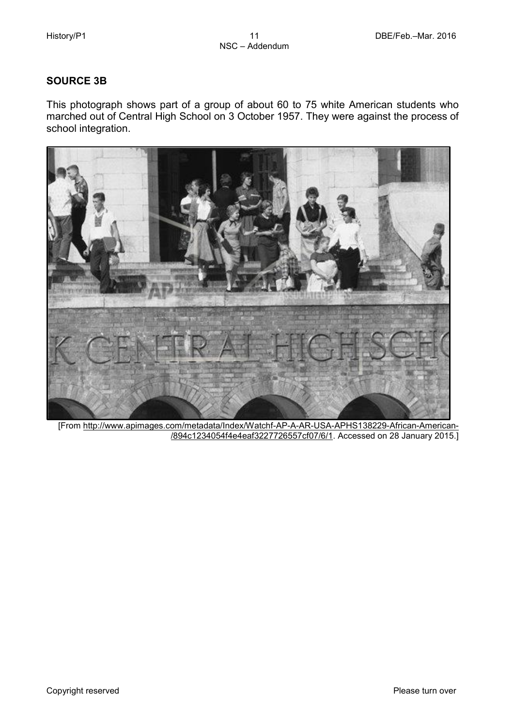# **SOURCE 3B**

This photograph shows part of a group of about 60 to 75 white American students who marched out of Central High School on 3 October 1957. They were against the process of school integration.



[From [http://www.apimages.com/metadata/Index/Watchf-AP-A-AR-USA-APHS138229-African-American-](http://www.apimages.com/metadata/Index/Watchf-AP-A-AR-USA-APHS138229-African-American-%20%20%20%20%20%20%20%20%20%20%20%20%20%20%20%20%20%20%20%20%20%20%20%20%20%20%20%20%20%20%20%20%20%20/894c1234054f4e4eaf3227726557cf07/6/1)  [/894c1234054f4e4eaf3227726557cf07/6/1.](http://www.apimages.com/metadata/Index/Watchf-AP-A-AR-USA-APHS138229-African-American-%20%20%20%20%20%20%20%20%20%20%20%20%20%20%20%20%20%20%20%20%20%20%20%20%20%20%20%20%20%20%20%20%20%20/894c1234054f4e4eaf3227726557cf07/6/1) Accessed on 28 January 2015.]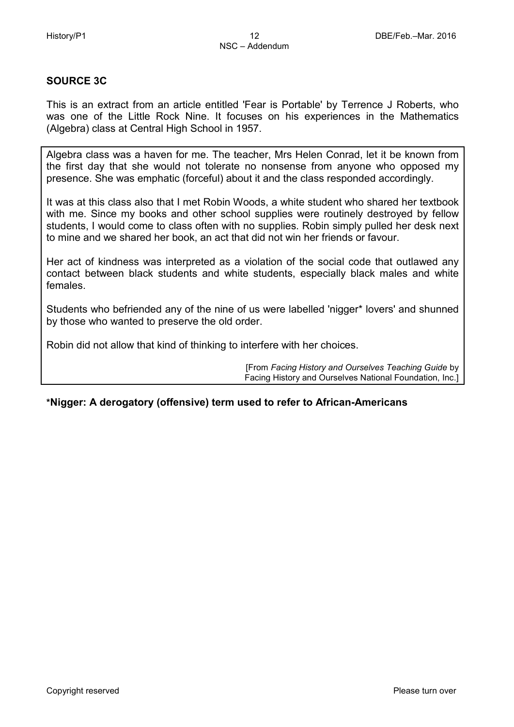# **SOURCE 3C**

This is an extract from an article entitled 'Fear is Portable' by Terrence J Roberts, who was one of the Little Rock Nine. It focuses on his experiences in the Mathematics (Algebra) class at Central High School in 1957.

Algebra class was a haven for me. The teacher, Mrs Helen Conrad, let it be known from the first day that she would not tolerate no nonsense from anyone who opposed my presence. She was emphatic (forceful) about it and the class responded accordingly.

It was at this class also that I met Robin Woods, a white student who shared her textbook with me. Since my books and other school supplies were routinely destroyed by fellow students, I would come to class often with no supplies. Robin simply pulled her desk next to mine and we shared her book, an act that did not win her friends or favour.

Her act of kindness was interpreted as a violation of the social code that outlawed any contact between black students and white students, especially black males and white females.

Students who befriended any of the nine of us were labelled 'nigger\* lovers' and shunned by those who wanted to preserve the old order.

Robin did not allow that kind of thinking to interfere with her choices.

[From *Facing History and Ourselves Teaching Guide* by Facing History and Ourselves National Foundation, Inc.]

#### **\*Nigger: A derogatory (offensive) term used to refer to African-Americans**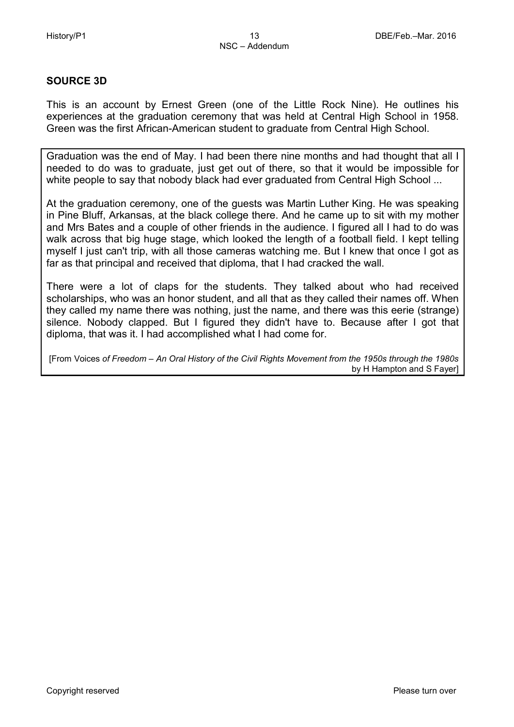## **SOURCE 3D**

This is an account by Ernest Green (one of the Little Rock Nine). He outlines his experiences at the graduation ceremony that was held at Central High School in 1958. Green was the first African-American student to graduate from Central High School.

Graduation was the end of May. I had been there nine months and had thought that all I needed to do was to graduate, just get out of there, so that it would be impossible for white people to say that nobody black had ever graduated from Central High School ...

At the graduation ceremony, one of the guests was Martin Luther King. He was speaking in Pine Bluff, Arkansas, at the black college there. And he came up to sit with my mother and Mrs Bates and a couple of other friends in the audience. I figured all I had to do was walk across that big huge stage, which looked the length of a football field. I kept telling myself I just can't trip, with all those cameras watching me. But I knew that once I got as far as that principal and received that diploma, that I had cracked the wall.

There were a lot of claps for the students. They talked about who had received scholarships, who was an honor student, and all that as they called their names off. When they called my name there was nothing, just the name, and there was this eerie (strange) silence. Nobody clapped. But I figured they didn't have to. Because after I got that diploma, that was it. I had accomplished what I had come for.

[From Voices *of Freedom – An Oral History of the Civil Rights Movement from the 1950s through the 1980s* by H Hampton and S Fayer]